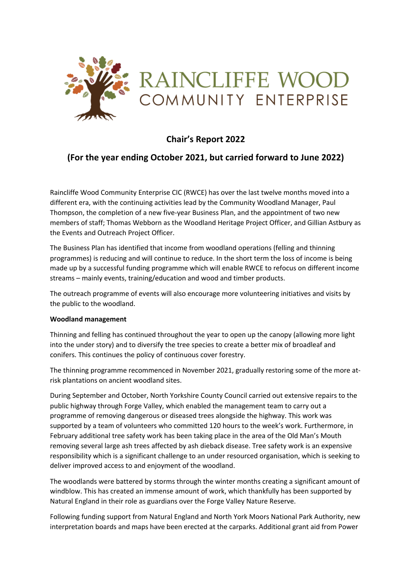

# **Chair's Report 2022**

# **(For the year ending October 2021, but carried forward to June 2022)**

Raincliffe Wood Community Enterprise CIC (RWCE) has over the last twelve months moved into a different era, with the continuing activities lead by the Community Woodland Manager, Paul Thompson, the completion of a new five-year Business Plan, and the appointment of two new members of staff; Thomas Webborn as the Woodland Heritage Project Officer, and Gillian Astbury as the Events and Outreach Project Officer.

The Business Plan has identified that income from woodland operations (felling and thinning programmes) is reducing and will continue to reduce. In the short term the loss of income is being made up by a successful funding programme which will enable RWCE to refocus on different income streams – mainly events, training/education and wood and timber products.

The outreach programme of events will also encourage more volunteering initiatives and visits by the public to the woodland.

#### **Woodland management**

Thinning and felling has continued throughout the year to open up the canopy (allowing more light into the under story) and to diversify the tree species to create a better mix of broadleaf and conifers. This continues the policy of continuous cover forestry.

The thinning programme recommenced in November 2021, gradually restoring some of the more atrisk plantations on ancient woodland sites.

During September and October, North Yorkshire County Council carried out extensive repairs to the public highway through Forge Valley, which enabled the management team to carry out a programme of removing dangerous or diseased trees alongside the highway. This work was supported by a team of volunteers who committed 120 hours to the week's work. Furthermore, in February additional tree safety work has been taking place in the area of the Old Man's Mouth removing several large ash trees affected by ash dieback disease. Tree safety work is an expensive responsibility which is a significant challenge to an under resourced organisation, which is seeking to deliver improved access to and enjoyment of the woodland.

The woodlands were battered by storms through the winter months creating a significant amount of windblow. This has created an immense amount of work, which thankfully has been supported by Natural England in their role as guardians over the Forge Valley Nature Reserve.

Following funding support from Natural England and North York Moors National Park Authority, new interpretation boards and maps have been erected at the carparks. Additional grant aid from Power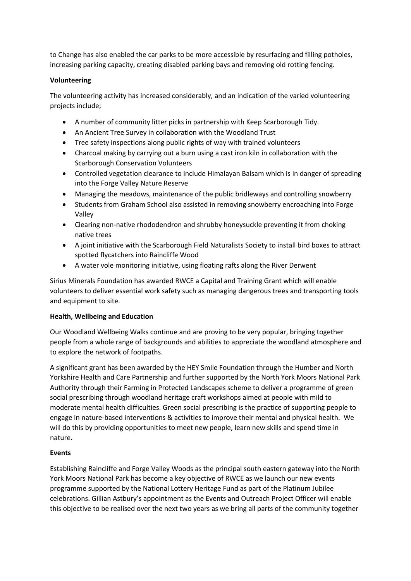to Change has also enabled the car parks to be more accessible by resurfacing and filling potholes, increasing parking capacity, creating disabled parking bays and removing old rotting fencing.

### **Volunteering**

The volunteering activity has increased considerably, and an indication of the varied volunteering projects include;

- A number of community litter picks in partnership with Keep Scarborough Tidy.
- An Ancient Tree Survey in collaboration with the Woodland Trust
- Tree safety inspections along public rights of way with trained volunteers
- Charcoal making by carrying out a burn using a cast iron kiln in collaboration with the Scarborough Conservation Volunteers
- Controlled vegetation clearance to include Himalayan Balsam which is in danger of spreading into the Forge Valley Nature Reserve
- Managing the meadows, maintenance of the public bridleways and controlling snowberry
- Students from Graham School also assisted in removing snowberry encroaching into Forge Valley
- Clearing non-native rhododendron and shrubby honeysuckle preventing it from choking native trees
- A joint initiative with the Scarborough Field Naturalists Society to install bird boxes to attract spotted flycatchers into Raincliffe Wood
- A water vole monitoring initiative, using floating rafts along the River Derwent

Sirius Minerals Foundation has awarded RWCE a Capital and Training Grant which will enable volunteers to deliver essential work safety such as managing dangerous trees and transporting tools and equipment to site.

# **Health, Wellbeing and Education**

Our Woodland Wellbeing Walks continue and are proving to be very popular, bringing together people from a whole range of backgrounds and abilities to appreciate the woodland atmosphere and to explore the network of footpaths.

A significant grant has been awarded by the HEY Smile Foundation through the Humber and North Yorkshire Health and Care Partnership and further supported by the North York Moors National Park Authority through their Farming in Protected Landscapes scheme to deliver a programme of green social prescribing through woodland heritage craft workshops aimed at people with mild to moderate mental health difficulties. Green social prescribing is the practice of supporting people to engage in nature-based interventions & activities to improve their mental and physical health. We will do this by providing opportunities to meet new people, learn new skills and spend time in nature.

# **Events**

Establishing Raincliffe and Forge Valley Woods as the principal south eastern gateway into the North York Moors National Park has become a key objective of RWCE as we launch our new events programme supported by the National Lottery Heritage Fund as part of the Platinum Jubilee celebrations. Gillian Astbury's appointment as the Events and Outreach Project Officer will enable this objective to be realised over the next two years as we bring all parts of the community together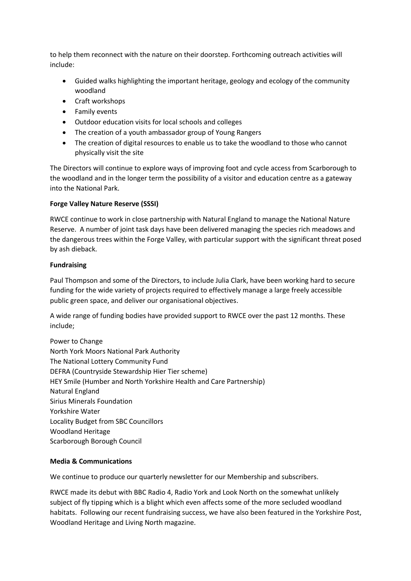to help them reconnect with the nature on their doorstep. Forthcoming outreach activities will include:

- Guided walks highlighting the important heritage, geology and ecology of the community woodland
- Craft workshops
- Family events
- Outdoor education visits for local schools and colleges
- The creation of a youth ambassador group of Young Rangers
- The creation of digital resources to enable us to take the woodland to those who cannot physically visit the site

The Directors will continue to explore ways of improving foot and cycle access from Scarborough to the woodland and in the longer term the possibility of a visitor and education centre as a gateway into the National Park.

## **Forge Valley Nature Reserve (SSSI)**

RWCE continue to work in close partnership with Natural England to manage the National Nature Reserve. A number of joint task days have been delivered managing the species rich meadows and the dangerous trees within the Forge Valley, with particular support with the significant threat posed by ash dieback.

## **Fundraising**

Paul Thompson and some of the Directors, to include Julia Clark, have been working hard to secure funding for the wide variety of projects required to effectively manage a large freely accessible public green space, and deliver our organisational objectives.

A wide range of funding bodies have provided support to RWCE over the past 12 months. These include;

Power to Change North York Moors National Park Authority The National Lottery Community Fund DEFRA (Countryside Stewardship Hier Tier scheme) HEY Smile (Humber and North Yorkshire Health and Care Partnership) Natural England Sirius Minerals Foundation Yorkshire Water Locality Budget from SBC Councillors Woodland Heritage Scarborough Borough Council

# **Media & Communications**

We continue to produce our quarterly newsletter for our Membership and subscribers.

RWCE made its debut with BBC Radio 4, Radio York and Look North on the somewhat unlikely subject of fly tipping which is a blight which even affects some of the more secluded woodland habitats. Following our recent fundraising success, we have also been featured in the Yorkshire Post, Woodland Heritage and Living North magazine.